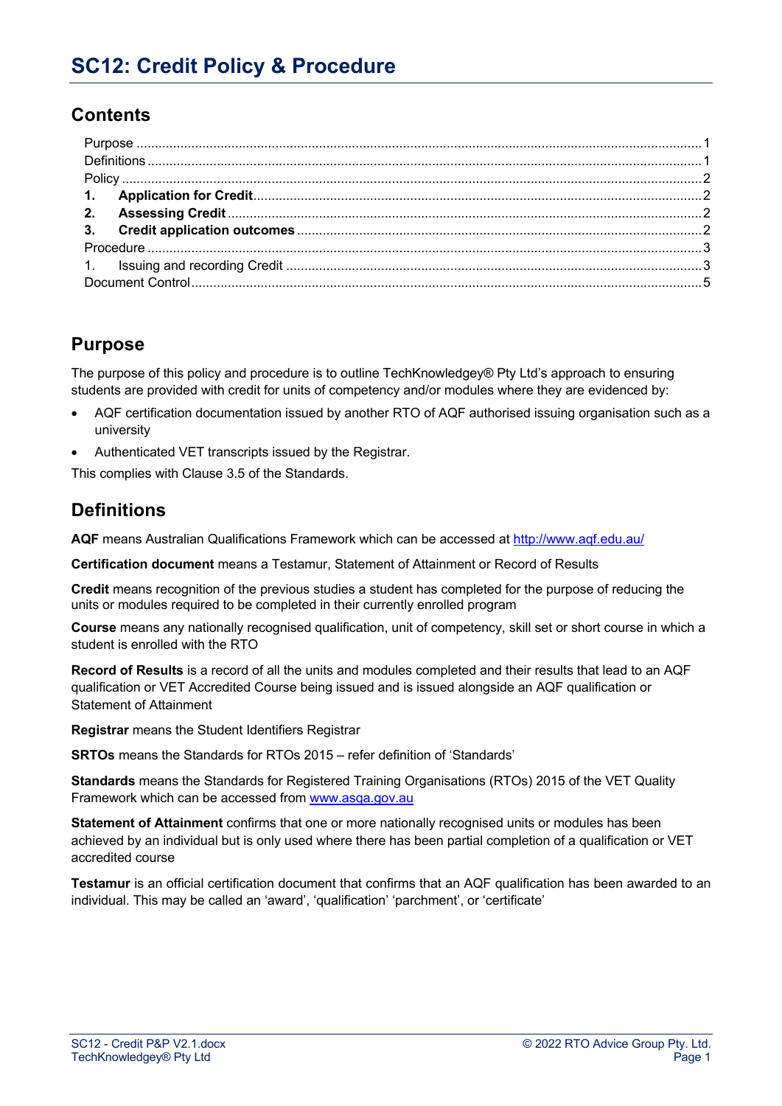## **Contents**

## **Purpose**

The purpose of this policy and procedure is to outline TechKnowledgey® Pty Ltd's approach to ensuring students are provided with credit for units of competency and/or modules where they are evidenced by:

- AQF certification documentation issued by another RTO of AQF authorised issuing organisation such as a university
- Authenticated VET transcripts issued by the Registrar.

This complies with Clause 3.5 of the Standards.

## **Definitions**

**AQF** means Australian Qualifications Framework which can be accessed at http://www.aqf.edu.au/

**Certification document** means a Testamur, Statement of Attainment or Record of Results

**Credit** means recognition of the previous studies a student has completed for the purpose of reducing the units or modules required to be completed in their currently enrolled program

**Course** means any nationally recognised qualification, unit of competency, skill set or short course in which a student is enrolled with the RTO

**Record of Results** is a record of all the units and modules completed and their results that lead to an AQF qualification or VET Accredited Course being issued and is issued alongside an AQF qualification or Statement of Attainment

**Registrar** means the Student Identifiers Registrar

**SRTOs** means the Standards for RTOs 2015 – refer definition of 'Standards'

**Standards** means the Standards for Registered Training Organisations (RTOs) 2015 of the VET Quality Framework which can be accessed from www.asqa.gov.au

**Statement of Attainment** confirms that one or more nationally recognised units or modules has been achieved by an individual but is only used where there has been partial completion of a qualification or VET accredited course

**Testamur** is an official certification document that confirms that an AQF qualification has been awarded to an individual. This may be called an 'award', 'qualification' 'parchment', or 'certificate'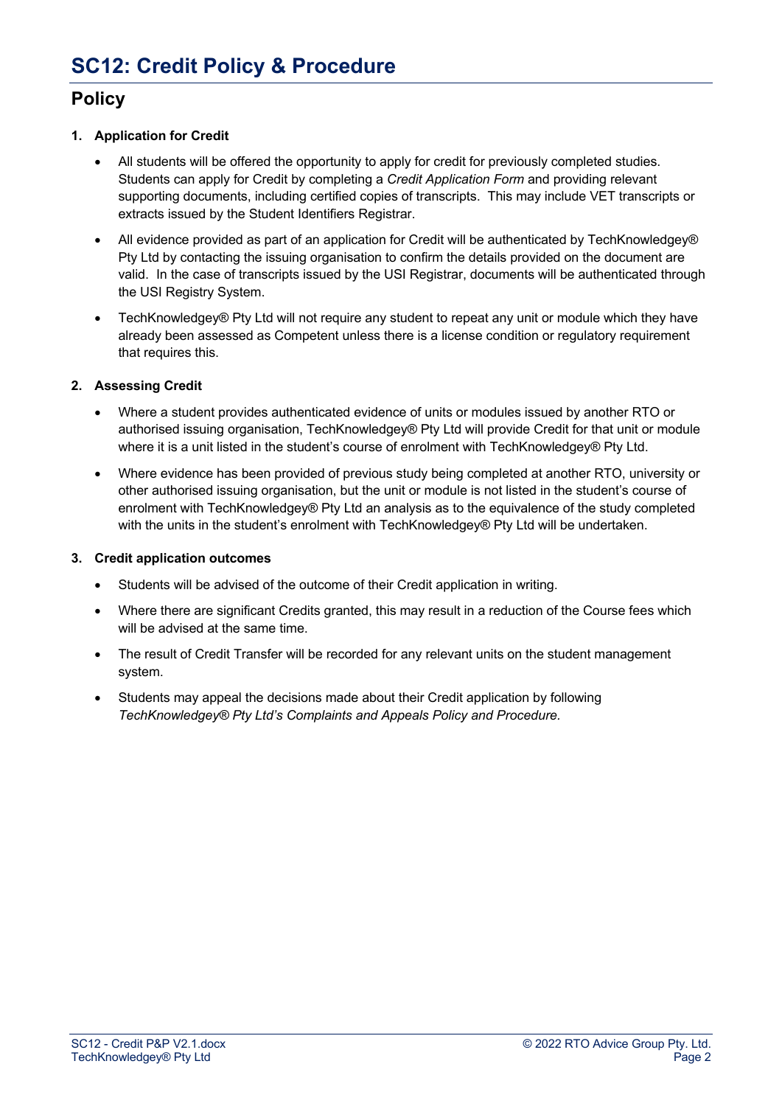## **Policy**

#### **1. Application for Credit**

- All students will be offered the opportunity to apply for credit for previously completed studies. Students can apply for Credit by completing a *Credit Application Form* and providing relevant supporting documents, including certified copies of transcripts. This may include VET transcripts or extracts issued by the Student Identifiers Registrar.
- All evidence provided as part of an application for Credit will be authenticated by TechKnowledgey® Pty Ltd by contacting the issuing organisation to confirm the details provided on the document are valid. In the case of transcripts issued by the USI Registrar, documents will be authenticated through the USI Registry System.
- TechKnowledgey® Pty Ltd will not require any student to repeat any unit or module which they have already been assessed as Competent unless there is a license condition or regulatory requirement that requires this.

#### **2. Assessing Credit**

- Where a student provides authenticated evidence of units or modules issued by another RTO or authorised issuing organisation, TechKnowledgey® Pty Ltd will provide Credit for that unit or module where it is a unit listed in the student's course of enrolment with TechKnowledgey® Pty Ltd.
- Where evidence has been provided of previous study being completed at another RTO, university or other authorised issuing organisation, but the unit or module is not listed in the student's course of enrolment with TechKnowledgey® Pty Ltd an analysis as to the equivalence of the study completed with the units in the student's enrolment with TechKnowledgey® Pty Ltd will be undertaken.

#### **3. Credit application outcomes**

- Students will be advised of the outcome of their Credit application in writing.
- Where there are significant Credits granted, this may result in a reduction of the Course fees which will be advised at the same time.
- The result of Credit Transfer will be recorded for any relevant units on the student management system.
- Students may appeal the decisions made about their Credit application by following *TechKnowledgey® Pty Ltd's Complaints and Appeals Policy and Procedure.*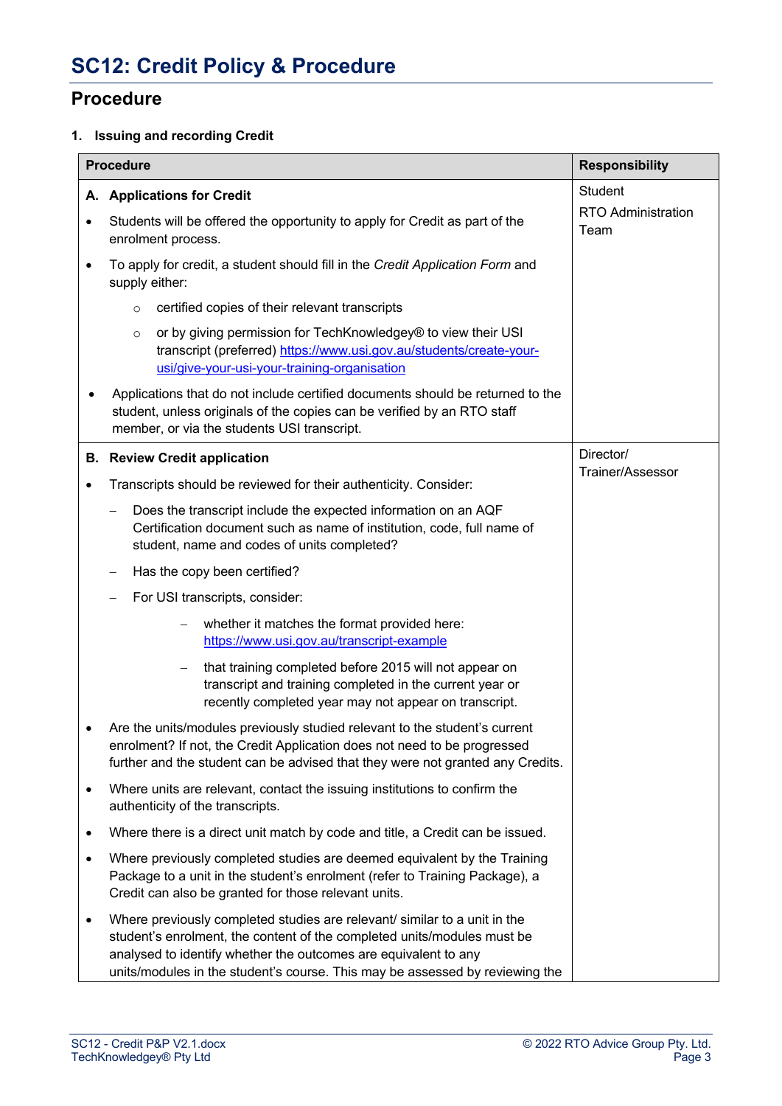### **Procedure**

### **1. Issuing and recording Credit**

| <b>Procedure</b> |                                                                                                                                                                                                                                                                                                         | <b>Responsibility</b>             |
|------------------|---------------------------------------------------------------------------------------------------------------------------------------------------------------------------------------------------------------------------------------------------------------------------------------------------------|-----------------------------------|
| Α.               | <b>Applications for Credit</b>                                                                                                                                                                                                                                                                          | Student                           |
| ٠                | Students will be offered the opportunity to apply for Credit as part of the<br>enrolment process.                                                                                                                                                                                                       | <b>RTO Administration</b><br>Team |
| $\bullet$        | To apply for credit, a student should fill in the Credit Application Form and<br>supply either:                                                                                                                                                                                                         |                                   |
|                  | certified copies of their relevant transcripts<br>$\circ$                                                                                                                                                                                                                                               |                                   |
|                  | or by giving permission for TechKnowledgey® to view their USI<br>$\circ$<br>transcript (preferred) https://www.usi.gov.au/students/create-your-<br>usi/give-your-usi-your-training-organisation                                                                                                         |                                   |
|                  | Applications that do not include certified documents should be returned to the<br>student, unless originals of the copies can be verified by an RTO staff<br>member, or via the students USI transcript.                                                                                                |                                   |
|                  | <b>B.</b> Review Credit application                                                                                                                                                                                                                                                                     | Director/                         |
| $\bullet$        | Transcripts should be reviewed for their authenticity. Consider:                                                                                                                                                                                                                                        | Trainer/Assessor                  |
|                  | Does the transcript include the expected information on an AQF<br>Certification document such as name of institution, code, full name of<br>student, name and codes of units completed?                                                                                                                 |                                   |
|                  | Has the copy been certified?                                                                                                                                                                                                                                                                            |                                   |
|                  | For USI transcripts, consider:                                                                                                                                                                                                                                                                          |                                   |
|                  | whether it matches the format provided here:<br>$\qquad \qquad -$<br>https://www.usi.gov.au/transcript-example                                                                                                                                                                                          |                                   |
|                  | that training completed before 2015 will not appear on<br>transcript and training completed in the current year or<br>recently completed year may not appear on transcript.                                                                                                                             |                                   |
| ٠                | Are the units/modules previously studied relevant to the student's current<br>enrolment? If not, the Credit Application does not need to be progressed<br>further and the student can be advised that they were not granted any Credits.                                                                |                                   |
| $\bullet$        | Where units are relevant, contact the issuing institutions to confirm the<br>authenticity of the transcripts.                                                                                                                                                                                           |                                   |
| $\bullet$        | Where there is a direct unit match by code and title, a Credit can be issued.                                                                                                                                                                                                                           |                                   |
| $\bullet$        | Where previously completed studies are deemed equivalent by the Training<br>Package to a unit in the student's enrolment (refer to Training Package), a<br>Credit can also be granted for those relevant units.                                                                                         |                                   |
| $\bullet$        | Where previously completed studies are relevant/ similar to a unit in the<br>student's enrolment, the content of the completed units/modules must be<br>analysed to identify whether the outcomes are equivalent to any<br>units/modules in the student's course. This may be assessed by reviewing the |                                   |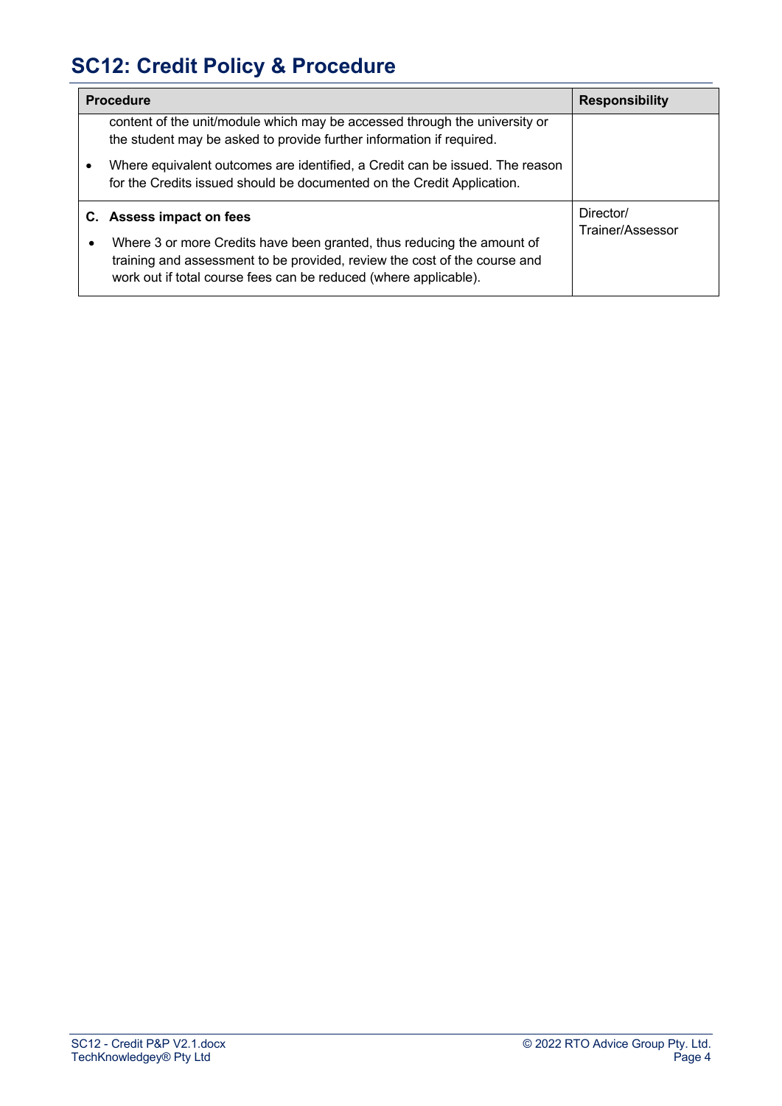# **SC12: Credit Policy & Procedure**

| <b>Procedure</b> |                                                                                                                                                                                                                         | <b>Responsibility</b>         |
|------------------|-------------------------------------------------------------------------------------------------------------------------------------------------------------------------------------------------------------------------|-------------------------------|
|                  | content of the unit/module which may be accessed through the university or<br>the student may be asked to provide further information if required.                                                                      |                               |
|                  | Where equivalent outcomes are identified, a Credit can be issued. The reason<br>for the Credits issued should be documented on the Credit Application.                                                                  |                               |
|                  | C. Assess impact on fees                                                                                                                                                                                                | Director/<br>Trainer/Assessor |
|                  | Where 3 or more Credits have been granted, thus reducing the amount of<br>training and assessment to be provided, review the cost of the course and<br>work out if total course fees can be reduced (where applicable). |                               |